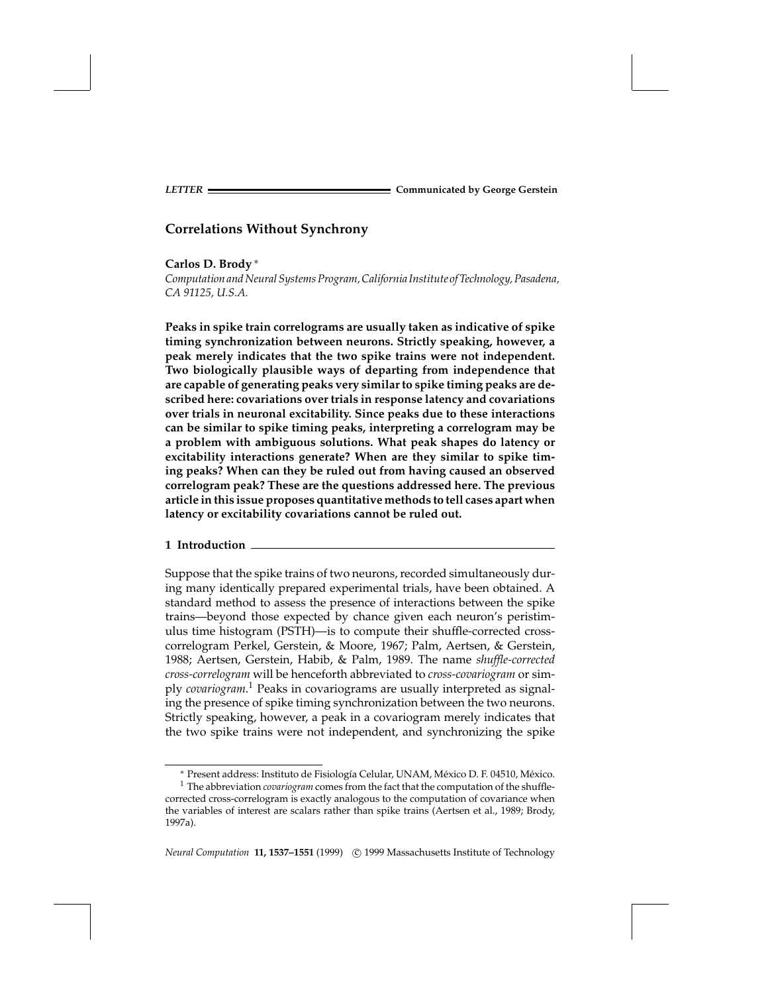**Carlos D. Brody** <sup>∗</sup>

*Computation and Neural Systems Program, California Institute of Technology, Pasadena, CA 91125, U.S.A.*

**Peaks in spike train correlograms are usually taken as indicative of spike timing synchronization between neurons. Strictly speaking, however, a peak merely indicates that the two spike trains were not independent. Two biologically plausible ways of departing from independence that are capable of generating peaks very similar to spike timing peaks are described here: covariations over trials in response latency and covariations over trials in neuronal excitability. Since peaks due to these interactions can be similar to spike timing peaks, interpreting a correlogram may be a problem with ambiguous solutions. What peak shapes do latency or excitability interactions generate? When are they similar to spike timing peaks? When can they be ruled out from having caused an observed correlogram peak? These are the questions addressed here. The previous article in this issue proposes quantitative methods to tell cases apart when latency or excitability covariations cannot be ruled out.**

### **1 Introduction**

Suppose that the spike trains of two neurons, recorded simultaneously during many identically prepared experimental trials, have been obtained. A standard method to assess the presence of interactions between the spike trains—beyond those expected by chance given each neuron's peristimulus time histogram (PSTH)—is to compute their shuffle-corrected crosscorrelogram Perkel, Gerstein, & Moore, 1967; Palm, Aertsen, & Gerstein, 1988; Aertsen, Gerstein, Habib, & Palm, 1989. The name *shuffle-corrected cross-correlogram* will be henceforth abbreviated to *cross-covariogram* or simply *covariogram*. <sup>1</sup> Peaks in covariograms are usually interpreted as signaling the presence of spike timing synchronization between the two neurons. Strictly speaking, however, a peak in a covariogram merely indicates that the two spike trains were not independent, and synchronizing the spike

*Neural Computation* **11, 1537-1551** (1999) © 1999 Massachusetts Institute of Technology

<sup>\*</sup> Present address: Instituto de Fisiología Celular, UNAM, México D. F. 04510, México.

<sup>1</sup> The abbreviation *covariogram* comes from the fact that the computation of the shufflecorrected cross-correlogram is exactly analogous to the computation of covariance when the variables of interest are scalars rather than spike trains (Aertsen et al., 1989; Brody, 1997a).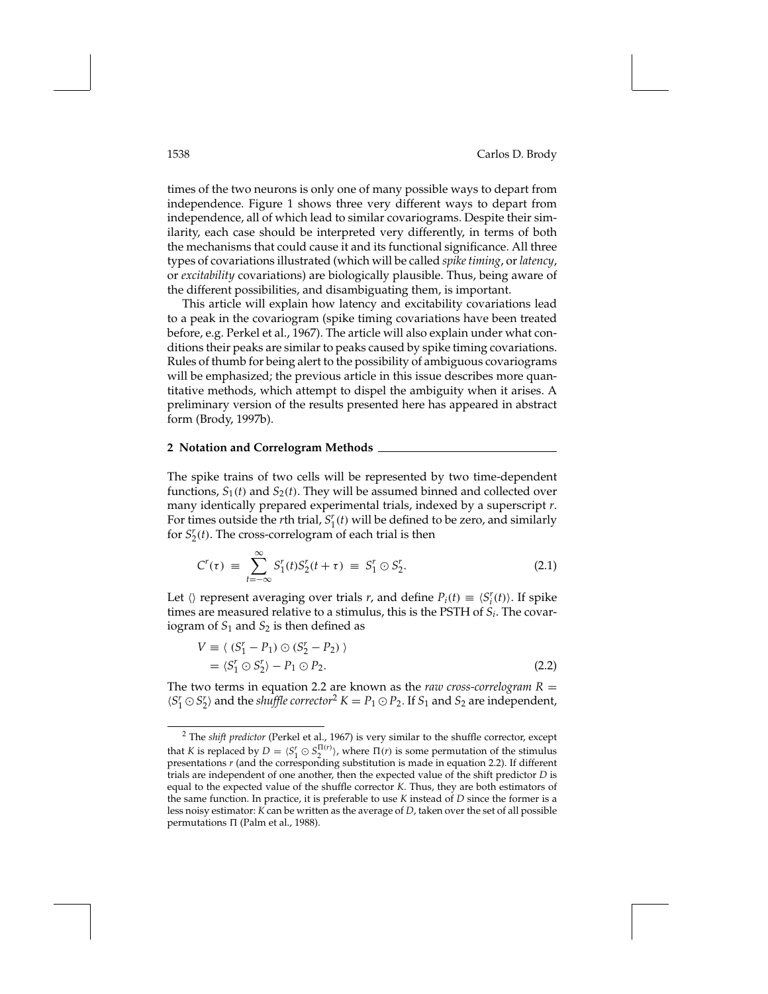times of the two neurons is only one of many possible ways to depart from independence. Figure 1 shows three very different ways to depart from independence, all of which lead to similar covariograms. Despite their similarity, each case should be interpreted very differently, in terms of both the mechanisms that could cause it and its functional significance. All three types of covariations illustrated (which will be called *spike timing*, or*latency*, or *excitability* covariations) are biologically plausible. Thus, being aware of the different possibilities, and disambiguating them, is important.

This article will explain how latency and excitability covariations lead to a peak in the covariogram (spike timing covariations have been treated before, e.g. Perkel et al., 1967). The article will also explain under what conditions their peaks are similar to peaks caused by spike timing covariations. Rules of thumb for being alert to the possibility of ambiguous covariograms will be emphasized; the previous article in this issue describes more quantitative methods, which attempt to dispel the ambiguity when it arises. A preliminary version of the results presented here has appeared in abstract form (Brody, 1997b).

## **2 Notation and Correlogram Methods**

The spike trains of two cells will be represented by two time-dependent functions,  $S_1(t)$  and  $S_2(t)$ . They will be assumed binned and collected over many identically prepared experimental trials, indexed by a superscript *r*. For times outside the *r*th trial,  $S_1^r(t)$  will be defined to be zero, and similarly for  $S_2^r(t)$ . The cross-correlogram of each trial is then

$$
C^{r}(\tau) \ = \ \sum_{t=-\infty}^{\infty} S_{1}^{r}(t) S_{2}^{r}(t+\tau) \ = \ S_{1}^{r} \odot S_{2}^{r}.
$$
 (2.1)

Let  $\langle \rangle$  represent averaging over trials *r*, and define  $P_i(t) \equiv \langle S_i^r(t) \rangle$ . If spike times are measured relative to a stimulus, this is the PSTH of *Si*. The covariogram of *S*<sup>1</sup> and *S*<sup>2</sup> is then defined as

$$
V \equiv \langle (S_1^r - P_1) \odot (S_2^r - P_2) \rangle
$$
  
= \langle S\_1^r \odot S\_2^r \rangle - P\_1 \odot P\_2. (2.2)

The two terms in equation 2.2 are known as the *raw cross-correlogram*  $R =$  $\langle S_1^r \odot S_2^r \rangle$  and the *shuffle corrector*<sup>2</sup>  $K = P_1 \odot P_2$ . If  $S_1$  and  $S_2$  are independent,

<sup>2</sup> The *shift predictor* (Perkel et al., 1967) is very similar to the shuffle corrector, except that *K* is replaced by  $D = \langle S_1^r \odot S_2^{\Pi(r)} \rangle$ , where  $\Pi(r)$  is some permutation of the stimulus presentations *r* (and the corresponding substitution is made in equation 2.2). If different trials are independent of one another, then the expected value of the shift predictor *D* is equal to the expected value of the shuffle corrector *K*. Thus, they are both estimators of the same function. In practice, it is preferable to use *K* instead of *D* since the former is a less noisy estimator: *K* can be written as the average of *D*, taken over the set of all possible permutations  $\Pi$  (Palm et al., 1988).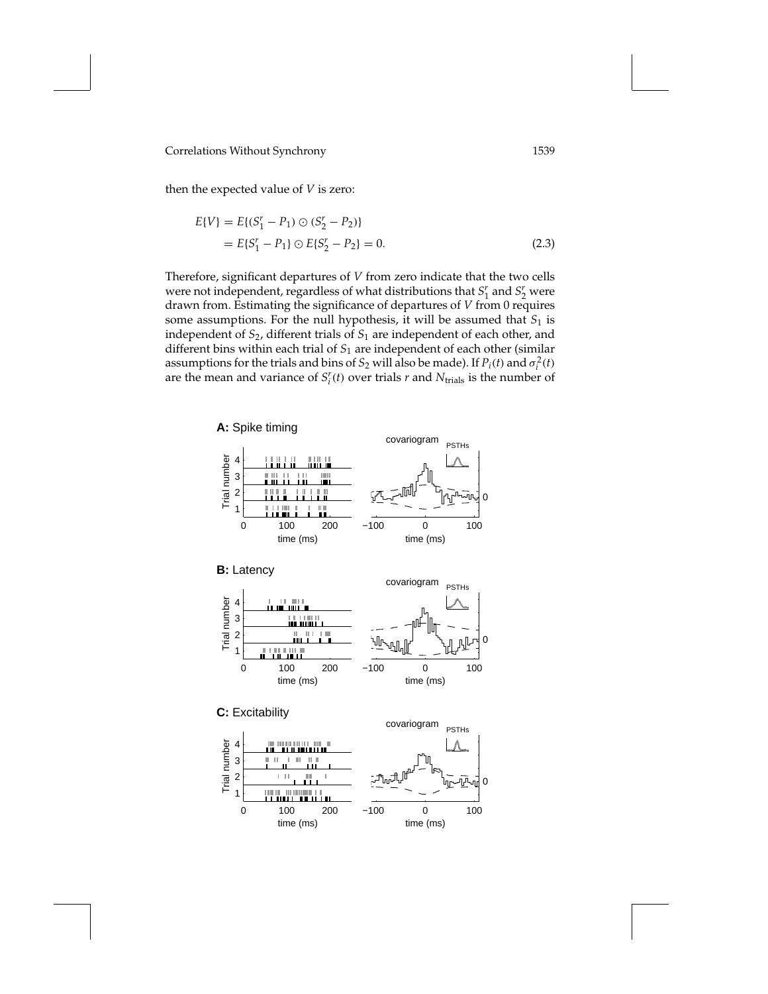then the expected value of *V* is zero:

$$
E\{V\} = E\{(S_1^r - P_1) \odot (S_2^r - P_2)\}
$$
  
=  $E\{S_1^r - P_1\} \odot E\{S_2^r - P_2\} = 0.$  (2.3)

Therefore, significant departures of *V* from zero indicate that the two cells were not independent, regardless of what distributions that  $S_1^r$  and  $S_2^r$  were drawn from. Estimating the significance of departures of *V* from 0 requires some assumptions. For the null hypothesis, it will be assumed that  $S_1$  is independent of *S*2, different trials of *S*<sup>1</sup> are independent of each other, and different bins within each trial of *S*<sup>1</sup> are independent of each other (similar assumptions for the trials and bins of  $S_2$  will also be made). If  $P_i(t)$  and  $\sigma_i^2(t)$ are the mean and variance of  $S_i^r(t)$  over trials  $r$  and  $N_{\text{trials}}$  is the number of

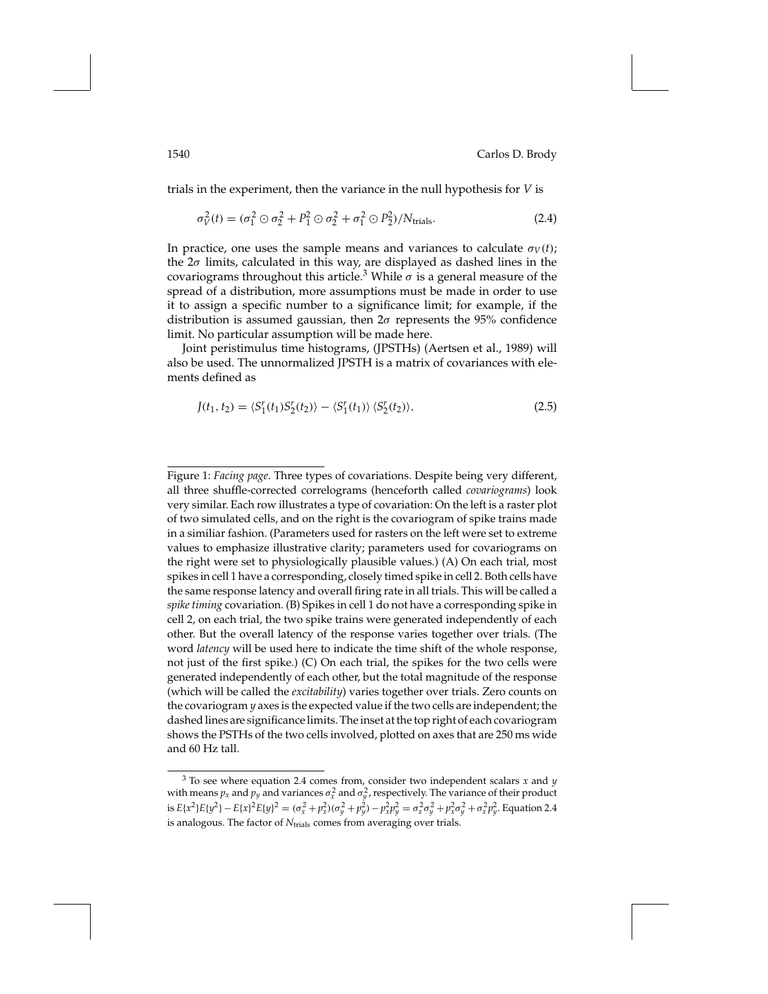trials in the experiment, then the variance in the null hypothesis for *V* is

$$
\sigma_V^2(t) = (\sigma_1^2 \odot \sigma_2^2 + P_1^2 \odot \sigma_2^2 + \sigma_1^2 \odot P_2^2) / N_{\text{trials}}.
$$
 (2.4)

In practice, one uses the sample means and variances to calculate  $\sigma_V(t)$ ; the  $2\sigma$  limits, calculated in this way, are displayed as dashed lines in the covariograms throughout this article.<sup>3</sup> While  $\sigma$  is a general measure of the spread of a distribution, more assumptions must be made in order to use it to assign a specific number to a significance limit; for example, if the distribution is assumed gaussian, then  $2\sigma$  represents the 95% confidence limit. No particular assumption will be made here.

Joint peristimulus time histograms, (JPSTHs) (Aertsen et al., 1989) will also be used. The unnormalized JPSTH is a matrix of covariances with elements defined as

$$
J(t_1, t_2) = \langle S_1^r(t_1) S_2^r(t_2) \rangle - \langle S_1^r(t_1) \rangle \langle S_2^r(t_2) \rangle, \tag{2.5}
$$

Figure 1: *Facing page*. Three types of covariations. Despite being very different, all three shuffle-corrected correlograms (henceforth called *covariograms*) look very similar. Each row illustrates a type of covariation: On the left is a raster plot of two simulated cells, and on the right is the covariogram of spike trains made in a similiar fashion. (Parameters used for rasters on the left were set to extreme values to emphasize illustrative clarity; parameters used for covariograms on the right were set to physiologically plausible values.) (A) On each trial, most spikes in cell 1 have a corresponding, closely timed spike in cell 2. Both cells have the same response latency and overall firing rate in all trials. This will be called a *spike timing* covariation. (B) Spikes in cell 1 do not have a corresponding spike in cell 2, on each trial, the two spike trains were generated independently of each other. But the overall latency of the response varies together over trials. (The word *latency* will be used here to indicate the time shift of the whole response, not just of the first spike.) (C) On each trial, the spikes for the two cells were generated independently of each other, but the total magnitude of the response (which will be called the *excitability*) varies together over trials. Zero counts on the covariogram *y* axes is the expected value if the two cells are independent; the dashed lines are significance limits. The inset at the top right of each covariogram shows the PSTHs of the two cells involved, plotted on axes that are 250 ms wide and 60 Hz tall.

<sup>3</sup> To see where equation 2.4 comes from, consider two independent scalars *x* and *y* with means  $p_x$  and  $p_y$  and variances  $\sigma_x^2$  and  $\sigma_y^2$ , respectively. The variance of their product is  $E\{x^2\}E\{y^2\} - E\{x\}^2E\{y\}^2 = (\sigma_x^2 + p_x^2)(\sigma_y^2 + p_y^2) - p_x^2p_y^2 = \sigma_x^2\sigma_y^2 + p_x^2\sigma_y^2 + \sigma_x^2p_y^2$ . Equation 2.4 is analogous. The factor of *N*<sub>trials</sub> comes from averaging over trials.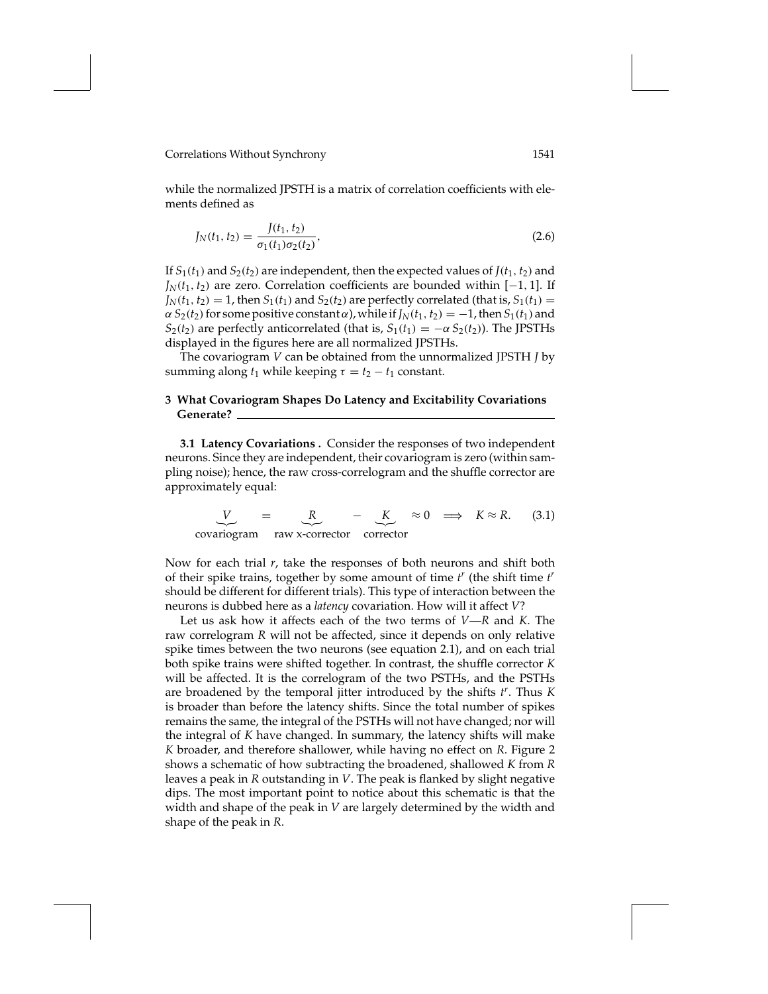while the normalized JPSTH is a matrix of correlation coefficients with elements defined as

$$
J_N(t_1, t_2) = \frac{J(t_1, t_2)}{\sigma_1(t_1)\sigma_2(t_2)},
$$
\n(2.6)

If  $S_1(t_1)$  and  $S_2(t_2)$  are independent, then the expected values of  $J(t_1, t_2)$  and  $J<sub>N</sub>(t<sub>1</sub>, t<sub>2</sub>)$  are zero. Correlation coefficients are bounded within [−1, 1]. If  $J_N(t_1, t_2) = 1$ , then  $S_1(t_1)$  and  $S_2(t_2)$  are perfectly correlated (that is,  $S_1(t_1) =$  $\alpha S_2(t_2)$  for some positive constant  $\alpha$ ), while if  $J_N(t_1, t_2) = -1$ , then  $S_1(t_1)$  and *S*<sub>2</sub>(*t*<sub>2</sub>) are perfectly anticorrelated (that is,  $S_1(t_1) = -\alpha S_2(t_2)$ ). The JPSTHs displayed in the figures here are all normalized JPSTHs.

The covariogram *V* can be obtained from the unnormalized JPSTH *J* by summing along  $t_1$  while keeping  $\tau = t_2 - t_1$  constant.

## **3 What Covariogram Shapes Do Latency and Excitability Covariations Generate?**

**3.1 Latency Covariations .** Consider the responses of two independent neurons. Since they are independent, their covariogram is zero (within sampling noise); hence, the raw cross-correlogram and the shuffle corrector are approximately equal:

$$
V = R - K \approx 0 \implies K \approx R. \quad (3.1)
$$
  
covariogram raw x-corrector corrector

Now for each trial *r*, take the responses of both neurons and shift both of their spike trains, together by some amount of time *t <sup>r</sup>* (the shift time *t r* should be different for different trials). This type of interaction between the neurons is dubbed here as a *latency* covariation. How will it affect *V*?

Let us ask how it affects each of the two terms of *V*—*R* and *K*. The raw correlogram *R* will not be affected, since it depends on only relative spike times between the two neurons (see equation 2.1), and on each trial both spike trains were shifted together. In contrast, the shuffle corrector *K* will be affected. It is the correlogram of the two PSTHs, and the PSTHs are broadened by the temporal jitter introduced by the shifts *t r* . Thus *K* is broader than before the latency shifts. Since the total number of spikes remains the same, the integral of the PSTHs will not have changed; nor will the integral of *K* have changed. In summary, the latency shifts will make *K* broader, and therefore shallower, while having no effect on *R*. Figure 2 shows a schematic of how subtracting the broadened, shallowed *K* from *R* leaves a peak in *R* outstanding in *V*. The peak is flanked by slight negative dips. The most important point to notice about this schematic is that the width and shape of the peak in *V* are largely determined by the width and shape of the peak in *R*.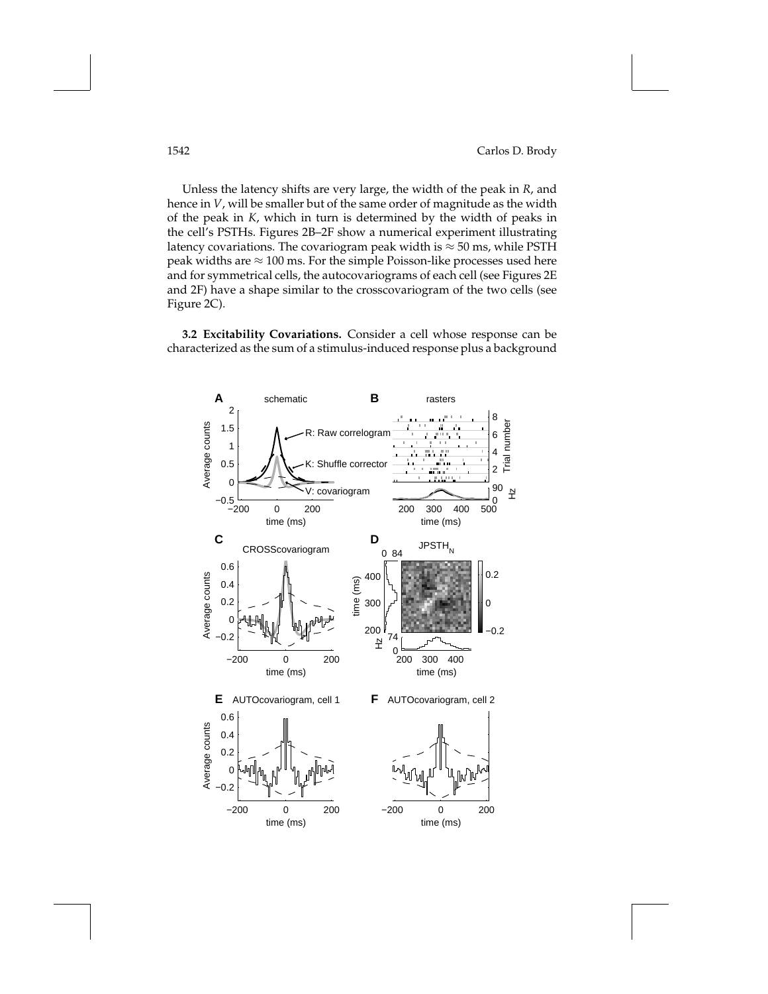Unless the latency shifts are very large, the width of the peak in *R*, and hence in *V*, will be smaller but of the same order of magnitude as the width of the peak in *K*, which in turn is determined by the width of peaks in the cell's PSTHs. Figures 2B–2F show a numerical experiment illustrating latency covariations. The covariogram peak width is  $\approx$  50 ms, while PSTH peak widths are  $\approx$  100 ms. For the simple Poisson-like processes used here and for symmetrical cells, the autocovariograms of each cell (see Figures 2E and 2F) have a shape similar to the crosscovariogram of the two cells (see Figure 2C).

**3.2 Excitability Covariations.** Consider a cell whose response can be characterized as the sum of a stimulus-induced response plus a background

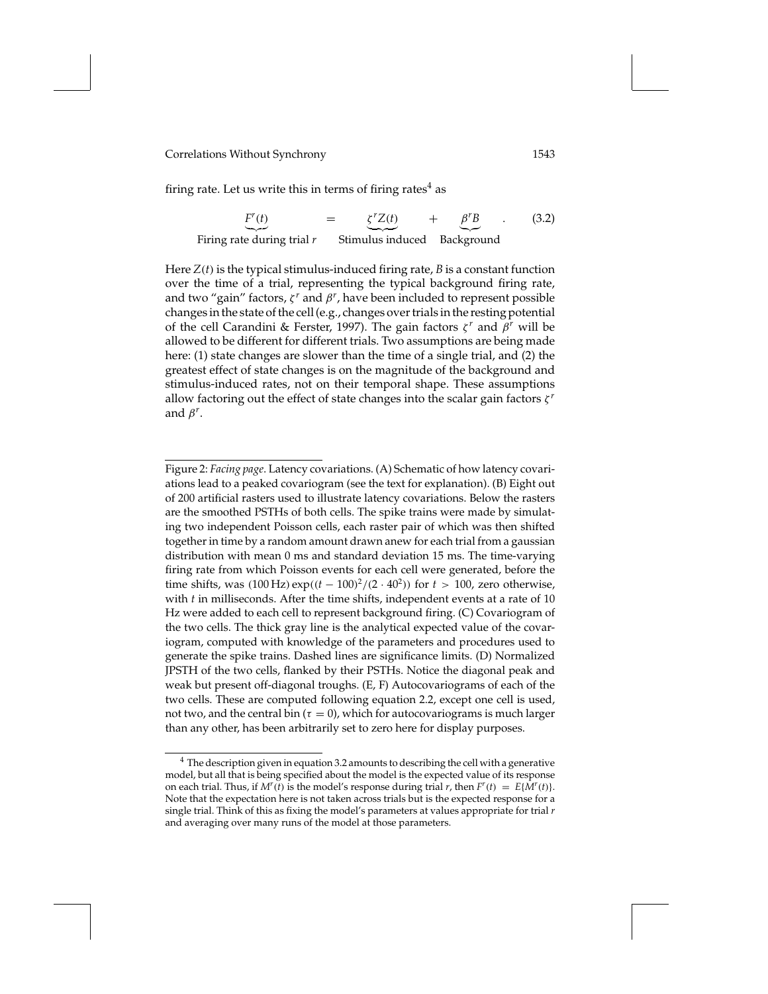firing rate. Let us write this in terms of firing rates $4$  as

$$
F'(t) = \underbrace{\xi^r Z(t)}_{\text{Firing rate during trial } r} + \underbrace{\beta^r B}_{\text{Stimulus induced}}.
$$
 (3.2)

Here *Z*(*t*) is the typical stimulus-induced firing rate, *B* is a constant function over the time of a trial, representing the typical background firing rate, and two "gain" factors,  $\zeta^r$  and  $\beta^r$ , have been included to represent possible changes in the state of the cell (e.g., changes over trials in the resting potential of the cell Carandini & Ferster, 1997). The gain factors ζ *<sup>r</sup>* and β*<sup>r</sup>* will be allowed to be different for different trials. Two assumptions are being made here: (1) state changes are slower than the time of a single trial, and (2) the greatest effect of state changes is on the magnitude of the background and stimulus-induced rates, not on their temporal shape. These assumptions allow factoring out the effect of state changes into the scalar gain factors ζ *<sup>r</sup>* and  $\beta^r$ .

Figure 2: *Facing page*. Latency covariations. (A) Schematic of how latency covariations lead to a peaked covariogram (see the text for explanation). (B) Eight out of 200 artificial rasters used to illustrate latency covariations. Below the rasters are the smoothed PSTHs of both cells. The spike trains were made by simulating two independent Poisson cells, each raster pair of which was then shifted together in time by a random amount drawn anew for each trial from a gaussian distribution with mean 0 ms and standard deviation 15 ms. The time-varying firing rate from which Poisson events for each cell were generated, before the time shifts, was  $(100 \text{ Hz}) \exp((t - 100)^2/(2 \cdot 40^2))$  for  $t > 100$ , zero otherwise, with *t* in milliseconds. After the time shifts, independent events at a rate of 10 Hz were added to each cell to represent background firing. (C) Covariogram of the two cells. The thick gray line is the analytical expected value of the covariogram, computed with knowledge of the parameters and procedures used to generate the spike trains. Dashed lines are significance limits. (D) Normalized JPSTH of the two cells, flanked by their PSTHs. Notice the diagonal peak and weak but present off-diagonal troughs. (E, F) Autocovariograms of each of the two cells. These are computed following equation 2.2, except one cell is used, not two, and the central bin ( $\tau = 0$ ), which for autocovariograms is much larger than any other, has been arbitrarily set to zero here for display purposes.

 $4$  The description given in equation 3.2 amounts to describing the cell with a generative model, but all that is being specified about the model is the expected value of its response on each trial. Thus, if  $M^r(t)$  is the model's response during trial *r*, then  $F^r(t) = E\{M^r(t)\}.$ Note that the expectation here is not taken across trials but is the expected response for a single trial. Think of this as fixing the model's parameters at values appropriate for trial *r* and averaging over many runs of the model at those parameters.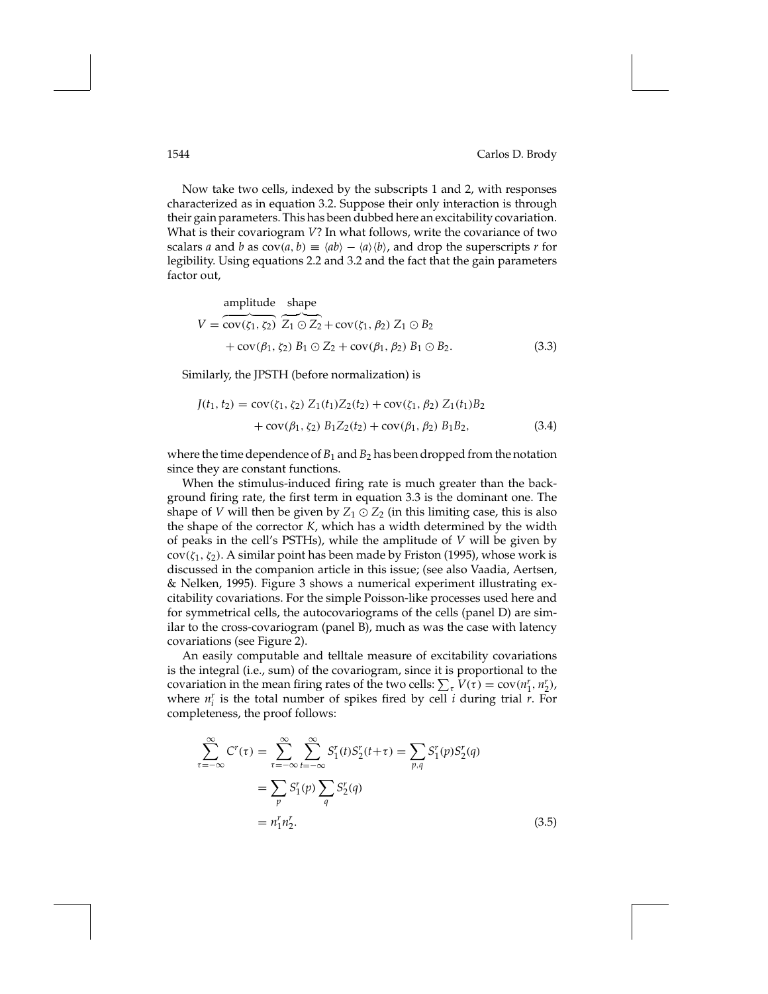Now take two cells, indexed by the subscripts 1 and 2, with responses characterized as in equation 3.2. Suppose their only interaction is through their gain parameters. This has been dubbed here an excitability covariation. What is their covariogram *V*? In what follows, write the covariance of two scalars *a* and *b* as  $cov(a, b) \equiv \langle ab \rangle - \langle a \rangle \langle b \rangle$ , and drop the superscripts *r* for legibility. Using equations 2.2 and 3.2 and the fact that the gain parameters factor out,

amplitude shape  
\n
$$
V = \overbrace{\text{cov}(\zeta_1, \zeta_2)}^{\text{amplitude}} \overbrace{Z_1 \odot Z_2}^{\text{shape}} + \text{cov}(\zeta_1, \beta_2) Z_1 \odot B_2
$$
\n
$$
+ \text{cov}(\beta_1, \zeta_2) B_1 \odot Z_2 + \text{cov}(\beta_1, \beta_2) B_1 \odot B_2.
$$
\n(3.3)

Similarly, the JPSTH (before normalization) is

$$
J(t_1, t_2) = \text{cov}(\zeta_1, \zeta_2) Z_1(t_1) Z_2(t_2) + \text{cov}(\zeta_1, \beta_2) Z_1(t_1) B_2 + \text{cov}(\beta_1, \zeta_2) B_1 Z_2(t_2) + \text{cov}(\beta_1, \beta_2) B_1 B_2,
$$
 (3.4)

where the time dependence of  $B_1$  and  $B_2$  has been dropped from the notation since they are constant functions.

When the stimulus-induced firing rate is much greater than the background firing rate, the first term in equation 3.3 is the dominant one. The shape of *V* will then be given by  $Z_1 \odot Z_2$  (in this limiting case, this is also the shape of the corrector *K*, which has a width determined by the width of peaks in the cell's PSTHs), while the amplitude of *V* will be given by  $cov(\zeta_1, \zeta_2)$ . A similar point has been made by Friston (1995), whose work is discussed in the companion article in this issue; (see also Vaadia, Aertsen, & Nelken, 1995). Figure 3 shows a numerical experiment illustrating excitability covariations. For the simple Poisson-like processes used here and for symmetrical cells, the autocovariograms of the cells (panel D) are similar to the cross-covariogram (panel B), much as was the case with latency covariations (see Figure 2).

An easily computable and telltale measure of excitability covariations is the integral (i.e., sum) of the covariogram, since it is proportional to the covariation in the mean firing rates of the two cells:  $\sum_{\tau} V(\tau) = \text{cov}(n_1^r, n_2^r)$ , where  $n_i^r$  is the total number of spikes fired by cell  $i$  during trial  $r$ . For completeness, the proof follows:

$$
\sum_{\tau=-\infty}^{\infty} C^r(\tau) = \sum_{\tau=-\infty}^{\infty} \sum_{t=-\infty}^{\infty} S_1^r(t) S_2^r(t+\tau) = \sum_{p,q} S_1^r(p) S_2^r(q)
$$
  
= 
$$
\sum_p S_1^r(p) \sum_q S_2^r(q)
$$
  
= 
$$
n_1^r n_2^r.
$$
 (3.5)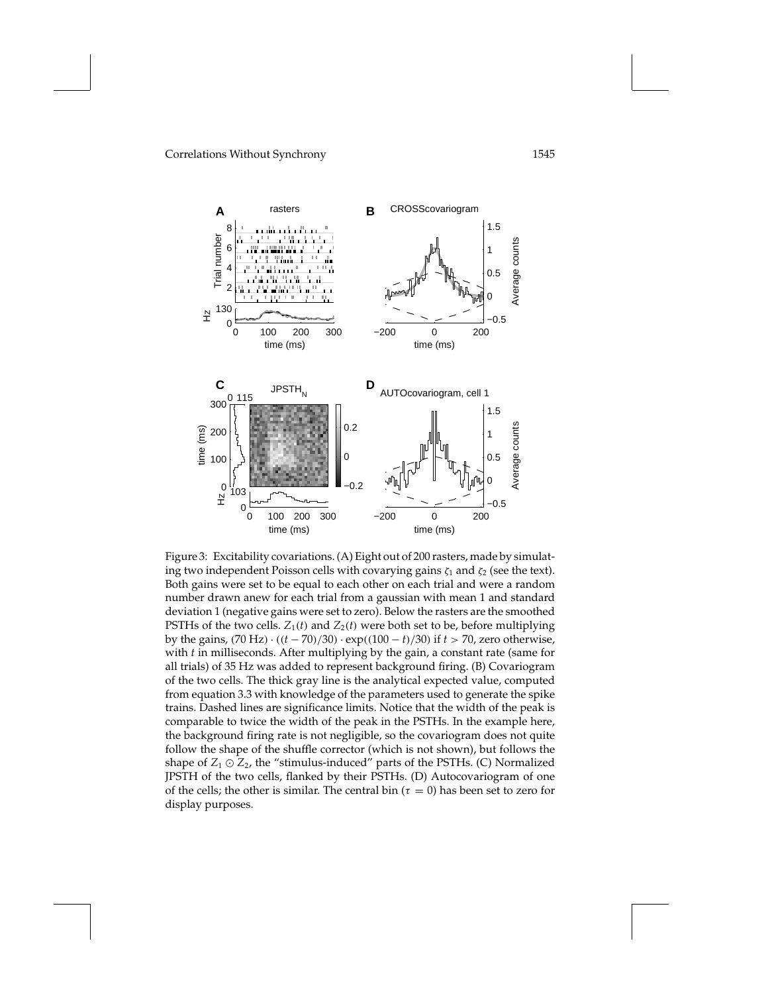

Figure 3: Excitability covariations. (A) Eight out of 200 rasters, made by simulating two independent Poisson cells with covarying gains  $\zeta_1$  and  $\zeta_2$  (see the text). Both gains were set to be equal to each other on each trial and were a random number drawn anew for each trial from a gaussian with mean 1 and standard deviation 1 (negative gains were set to zero). Below the rasters are the smoothed PSTHs of the two cells.  $Z_1(t)$  and  $Z_2(t)$  were both set to be, before multiplying by the gains, (70 Hz) · ((*t* − 70)/30) · exp((100 − *t*)/30) if *t* > 70, zero otherwise, with *t* in milliseconds. After multiplying by the gain, a constant rate (same for all trials) of 35 Hz was added to represent background firing. (B) Covariogram of the two cells. The thick gray line is the analytical expected value, computed from equation 3.3 with knowledge of the parameters used to generate the spike trains. Dashed lines are significance limits. Notice that the width of the peak is comparable to twice the width of the peak in the PSTHs. In the example here, the background firing rate is not negligible, so the covariogram does not quite follow the shape of the shuffle corrector (which is not shown), but follows the shape of  $Z_1 \odot Z_2$ , the "stimulus-induced" parts of the PSTHs. (C) Normalized JPSTH of the two cells, flanked by their PSTHs. (D) Autocovariogram of one of the cells; the other is similar. The central bin ( $\tau = 0$ ) has been set to zero for display purposes.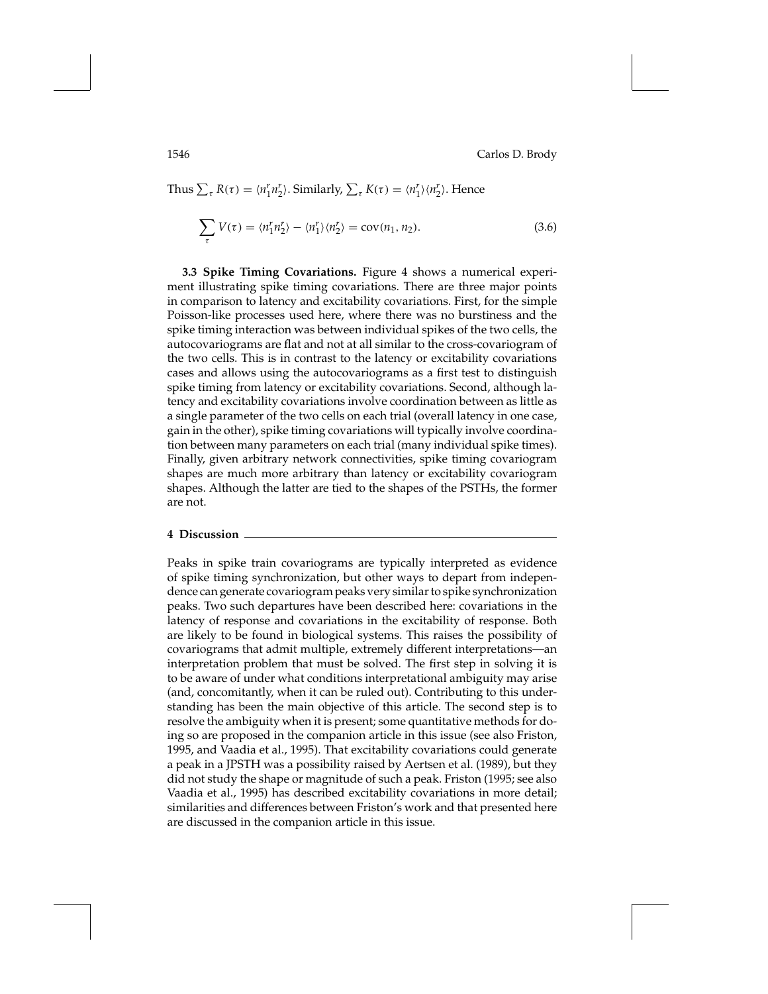Thus 
$$
\sum_{\tau} R(\tau) = \langle n_1^r n_2^r \rangle
$$
. Similarly,  $\sum_{\tau} K(\tau) = \langle n_1^r \rangle \langle n_2^r \rangle$ . Hence

$$
\sum_{\tau} V(\tau) = \langle n_1^r n_2^r \rangle - \langle n_1^r \rangle \langle n_2^r \rangle = \text{cov}(n_1, n_2). \tag{3.6}
$$

**3.3 Spike Timing Covariations.** Figure 4 shows a numerical experiment illustrating spike timing covariations. There are three major points in comparison to latency and excitability covariations. First, for the simple Poisson-like processes used here, where there was no burstiness and the spike timing interaction was between individual spikes of the two cells, the autocovariograms are flat and not at all similar to the cross-covariogram of the two cells. This is in contrast to the latency or excitability covariations cases and allows using the autocovariograms as a first test to distinguish spike timing from latency or excitability covariations. Second, although latency and excitability covariations involve coordination between as little as a single parameter of the two cells on each trial (overall latency in one case, gain in the other), spike timing covariations will typically involve coordination between many parameters on each trial (many individual spike times). Finally, given arbitrary network connectivities, spike timing covariogram shapes are much more arbitrary than latency or excitability covariogram shapes. Although the latter are tied to the shapes of the PSTHs, the former are not.

### **4 Discussion**

Peaks in spike train covariograms are typically interpreted as evidence of spike timing synchronization, but other ways to depart from independence can generate covariogram peaks very similar to spike synchronization peaks. Two such departures have been described here: covariations in the latency of response and covariations in the excitability of response. Both are likely to be found in biological systems. This raises the possibility of covariograms that admit multiple, extremely different interpretations—an interpretation problem that must be solved. The first step in solving it is to be aware of under what conditions interpretational ambiguity may arise (and, concomitantly, when it can be ruled out). Contributing to this understanding has been the main objective of this article. The second step is to resolve the ambiguity when it is present; some quantitative methods for doing so are proposed in the companion article in this issue (see also Friston, 1995, and Vaadia et al., 1995). That excitability covariations could generate a peak in a JPSTH was a possibility raised by Aertsen et al. (1989), but they did not study the shape or magnitude of such a peak. Friston (1995; see also Vaadia et al., 1995) has described excitability covariations in more detail; similarities and differences between Friston's work and that presented here are discussed in the companion article in this issue.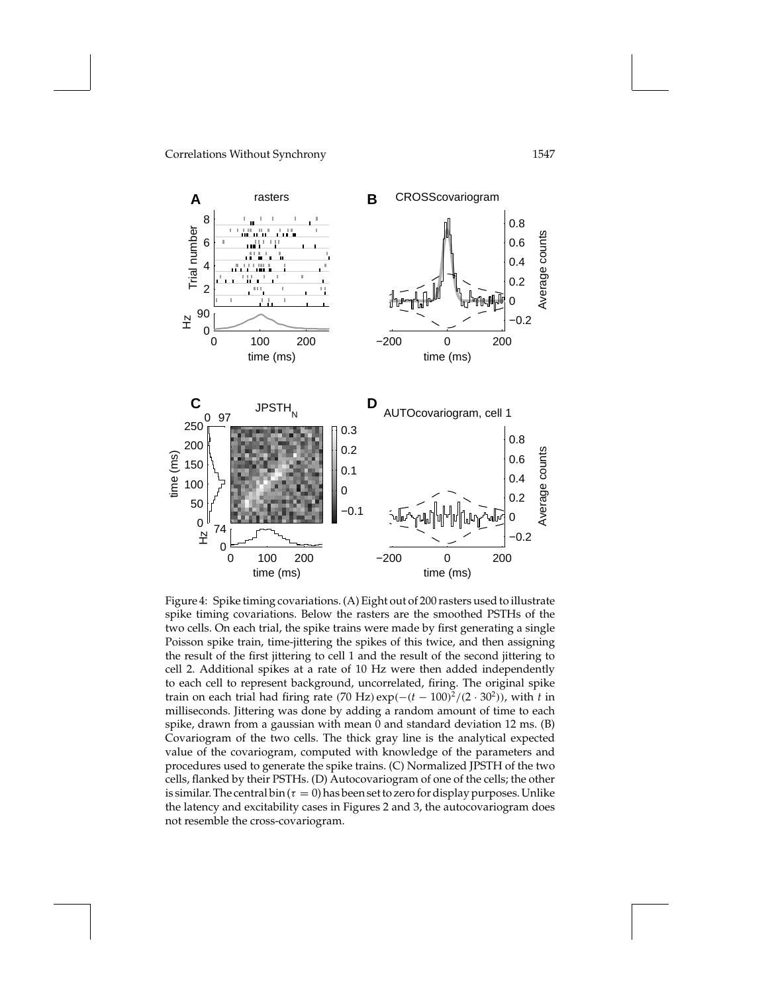

Figure 4: Spike timing covariations. (A) Eight out of 200 rasters used to illustrate spike timing covariations. Below the rasters are the smoothed PSTHs of the two cells. On each trial, the spike trains were made by first generating a single Poisson spike train, time-jittering the spikes of this twice, and then assigning the result of the first jittering to cell 1 and the result of the second jittering to cell 2. Additional spikes at a rate of 10 Hz were then added independently to each cell to represent background, uncorrelated, firing. The original spike train on each trial had firing rate (70 Hz)  $\exp(-(t-100)^2/(2 \cdot 30^2))$ , with *t* in milliseconds. Jittering was done by adding a random amount of time to each spike, drawn from a gaussian with mean 0 and standard deviation 12 ms. (B) Covariogram of the two cells. The thick gray line is the analytical expected value of the covariogram, computed with knowledge of the parameters and procedures used to generate the spike trains. (C) Normalized JPSTH of the two cells, flanked by their PSTHs. (D) Autocovariogram of one of the cells; the other is similar. The central bin ( $\tau = 0$ ) has been set to zero for display purposes. Unlike the latency and excitability cases in Figures 2 and 3, the autocovariogram does not resemble the cross-covariogram.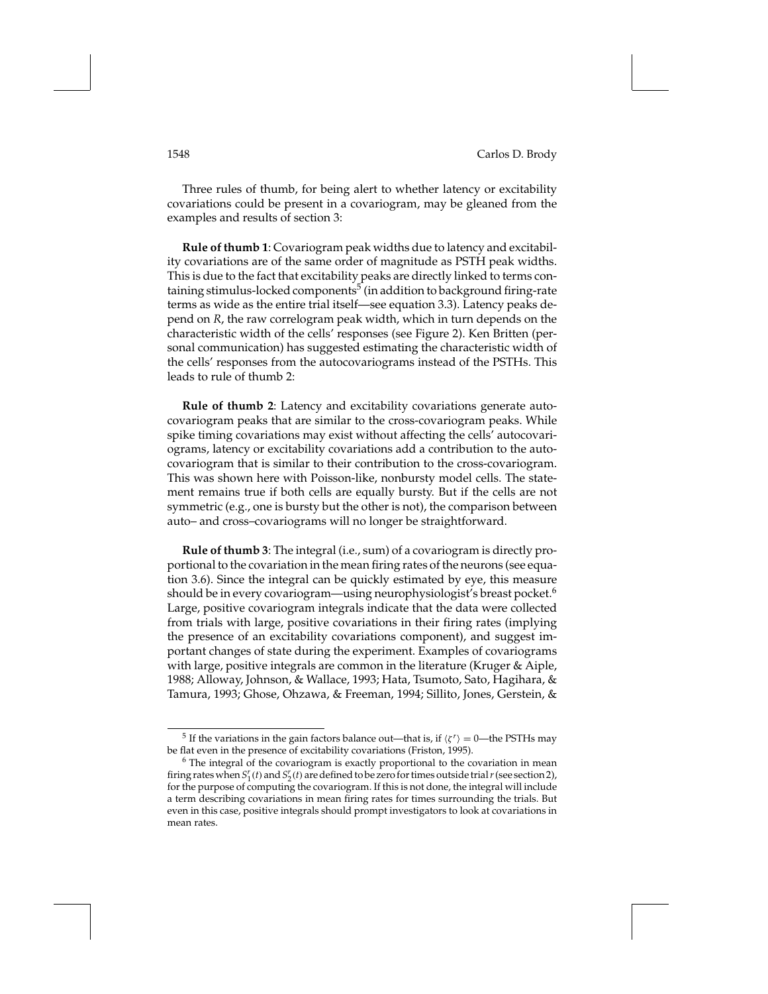Three rules of thumb, for being alert to whether latency or excitability covariations could be present in a covariogram, may be gleaned from the examples and results of section 3:

**Rule of thumb 1**: Covariogram peak widths due to latency and excitability covariations are of the same order of magnitude as PSTH peak widths. This is due to the fact that excitability peaks are directly linked to terms containing stimulus-locked components<sup>5</sup> (in addition to background firing-rate terms as wide as the entire trial itself—see equation 3.3). Latency peaks depend on *R*, the raw correlogram peak width, which in turn depends on the characteristic width of the cells' responses (see Figure 2). Ken Britten (personal communication) has suggested estimating the characteristic width of the cells' responses from the autocovariograms instead of the PSTHs. This leads to rule of thumb 2:

**Rule of thumb 2**: Latency and excitability covariations generate autocovariogram peaks that are similar to the cross-covariogram peaks. While spike timing covariations may exist without affecting the cells' autocovariograms, latency or excitability covariations add a contribution to the autocovariogram that is similar to their contribution to the cross-covariogram. This was shown here with Poisson-like, nonbursty model cells. The statement remains true if both cells are equally bursty. But if the cells are not symmetric (e.g., one is bursty but the other is not), the comparison between auto– and cross–covariograms will no longer be straightforward.

**Rule of thumb 3**: The integral (i.e., sum) of a covariogram is directly proportional to the covariation in the mean firing rates of the neurons (see equation 3.6). Since the integral can be quickly estimated by eye, this measure should be in every covariogram—using neurophysiologist's breast pocket.<sup>6</sup> Large, positive covariogram integrals indicate that the data were collected from trials with large, positive covariations in their firing rates (implying the presence of an excitability covariations component), and suggest important changes of state during the experiment. Examples of covariograms with large, positive integrals are common in the literature (Kruger & Aiple, 1988; Alloway, Johnson, & Wallace, 1993; Hata, Tsumoto, Sato, Hagihara, & Tamura, 1993; Ghose, Ohzawa, & Freeman, 1994; Sillito, Jones, Gerstein, &

<sup>&</sup>lt;sup>5</sup> If the variations in the gain factors balance out—that is, if  $\langle \zeta^r \rangle = 0$ —the PSTHs may be flat even in the presence of excitability covariations (Friston, 1995).

 $6$  The integral of the covariogram is exactly proportional to the covariation in mean firing rates when  $S_1^r(t)$  and  $S_2^r(t)$  are defined to be zero for times outside trial  $r$  (see section 2), for the purpose of computing the covariogram. If this is not done, the integral will include a term describing covariations in mean firing rates for times surrounding the trials. But even in this case, positive integrals should prompt investigators to look at covariations in mean rates.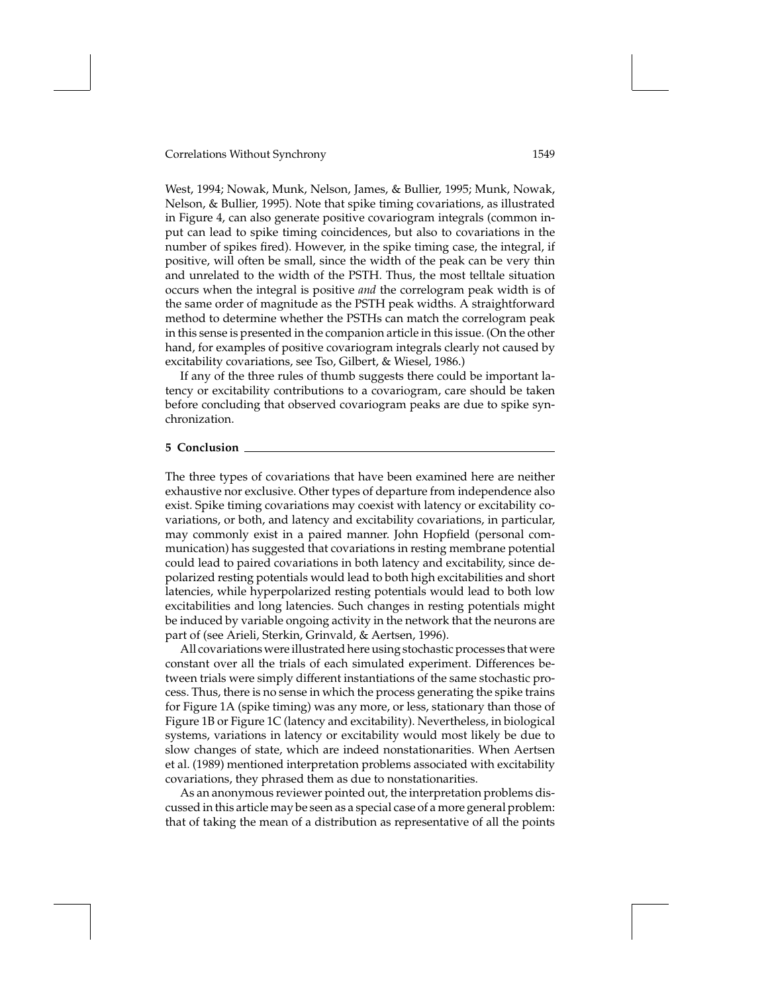West, 1994; Nowak, Munk, Nelson, James, & Bullier, 1995; Munk, Nowak, Nelson, & Bullier, 1995). Note that spike timing covariations, as illustrated in Figure 4, can also generate positive covariogram integrals (common input can lead to spike timing coincidences, but also to covariations in the number of spikes fired). However, in the spike timing case, the integral, if positive, will often be small, since the width of the peak can be very thin and unrelated to the width of the PSTH. Thus, the most telltale situation occurs when the integral is positive *and* the correlogram peak width is of the same order of magnitude as the PSTH peak widths. A straightforward method to determine whether the PSTHs can match the correlogram peak in this sense is presented in the companion article in this issue. (On the other hand, for examples of positive covariogram integrals clearly not caused by excitability covariations, see Tso, Gilbert, & Wiesel, 1986.)

If any of the three rules of thumb suggests there could be important latency or excitability contributions to a covariogram, care should be taken before concluding that observed covariogram peaks are due to spike synchronization.

### **5 Conclusion**

The three types of covariations that have been examined here are neither exhaustive nor exclusive. Other types of departure from independence also exist. Spike timing covariations may coexist with latency or excitability covariations, or both, and latency and excitability covariations, in particular, may commonly exist in a paired manner. John Hopfield (personal communication) has suggested that covariations in resting membrane potential could lead to paired covariations in both latency and excitability, since depolarized resting potentials would lead to both high excitabilities and short latencies, while hyperpolarized resting potentials would lead to both low excitabilities and long latencies. Such changes in resting potentials might be induced by variable ongoing activity in the network that the neurons are part of (see Arieli, Sterkin, Grinvald, & Aertsen, 1996).

All covariations were illustrated here using stochastic processes that were constant over all the trials of each simulated experiment. Differences between trials were simply different instantiations of the same stochastic process. Thus, there is no sense in which the process generating the spike trains for Figure 1A (spike timing) was any more, or less, stationary than those of Figure 1B or Figure 1C (latency and excitability). Nevertheless, in biological systems, variations in latency or excitability would most likely be due to slow changes of state, which are indeed nonstationarities. When Aertsen et al. (1989) mentioned interpretation problems associated with excitability covariations, they phrased them as due to nonstationarities.

As an anonymous reviewer pointed out, the interpretation problems discussed in this article may be seen as a special case of a more general problem: that of taking the mean of a distribution as representative of all the points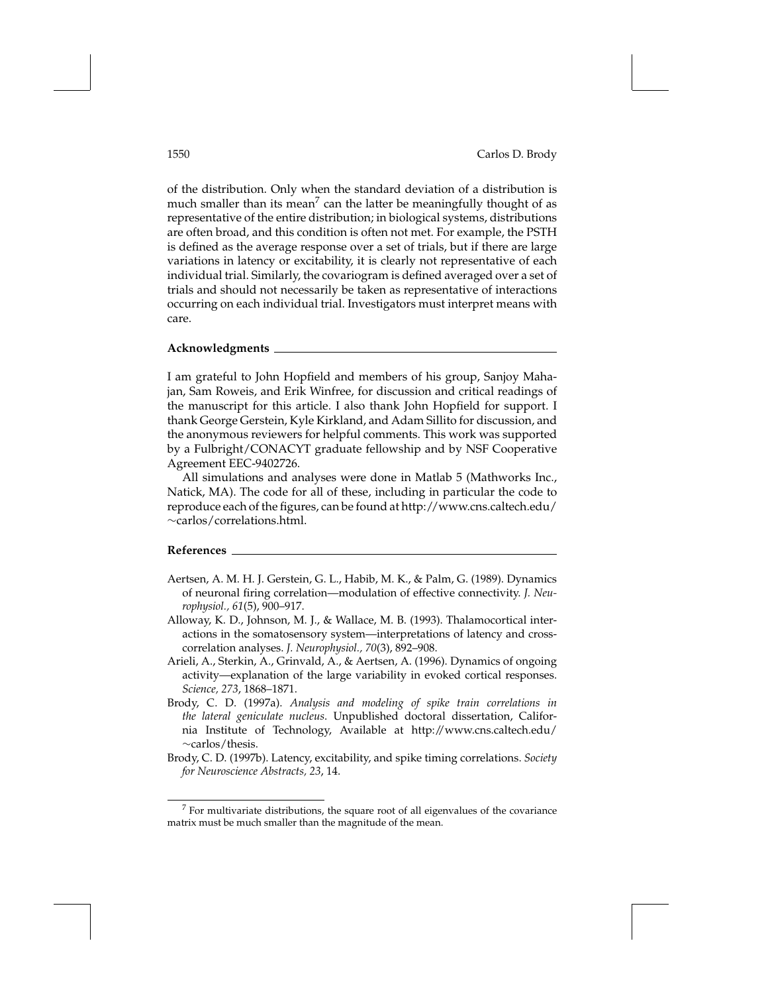of the distribution. Only when the standard deviation of a distribution is much smaller than its mean<sup>7</sup> can the latter be meaningfully thought of as representative of the entire distribution; in biological systems, distributions are often broad, and this condition is often not met. For example, the PSTH is defined as the average response over a set of trials, but if there are large variations in latency or excitability, it is clearly not representative of each individual trial. Similarly, the covariogram is defined averaged over a set of trials and should not necessarily be taken as representative of interactions occurring on each individual trial. Investigators must interpret means with care.

### **Acknowledgments**

I am grateful to John Hopfield and members of his group, Sanjoy Mahajan, Sam Roweis, and Erik Winfree, for discussion and critical readings of the manuscript for this article. I also thank John Hopfield for support. I thank George Gerstein, Kyle Kirkland, and Adam Sillito for discussion, and the anonymous reviewers for helpful comments. This work was supported by a Fulbright/CONACYT graduate fellowship and by NSF Cooperative Agreement EEC-9402726.

All simulations and analyses were done in Matlab 5 (Mathworks Inc., Natick, MA). The code for all of these, including in particular the code to reproduce each of the figures, can be found at http://www.cns.caltech.edu/ ∼carlos/correlations.html.

## **References**

- Aertsen, A. M. H. J. Gerstein, G. L., Habib, M. K., & Palm, G. (1989). Dynamics of neuronal firing correlation—modulation of effective connectivity. *J. Neurophysiol., 61*(5), 900–917.
- Alloway, K. D., Johnson, M. J., & Wallace, M. B. (1993). Thalamocortical interactions in the somatosensory system—interpretations of latency and crosscorrelation analyses. *J. Neurophysiol., 70*(3), 892–908.
- Arieli, A., Sterkin, A., Grinvald, A., & Aertsen, A. (1996). Dynamics of ongoing activity—explanation of the large variability in evoked cortical responses. *Science, 273*, 1868–1871.
- Brody, C. D. (1997a). *Analysis and modeling of spike train correlations in the lateral geniculate nucleus*. Unpublished doctoral dissertation, California Institute of Technology, Available at http://www.cns.caltech.edu/ ∼carlos/thesis.
- Brody, C. D. (1997b). Latency, excitability, and spike timing correlations. *Society for Neuroscience Abstracts, 23*, 14.

<sup>7</sup> For multivariate distributions, the square root of all eigenvalues of the covariance matrix must be much smaller than the magnitude of the mean.